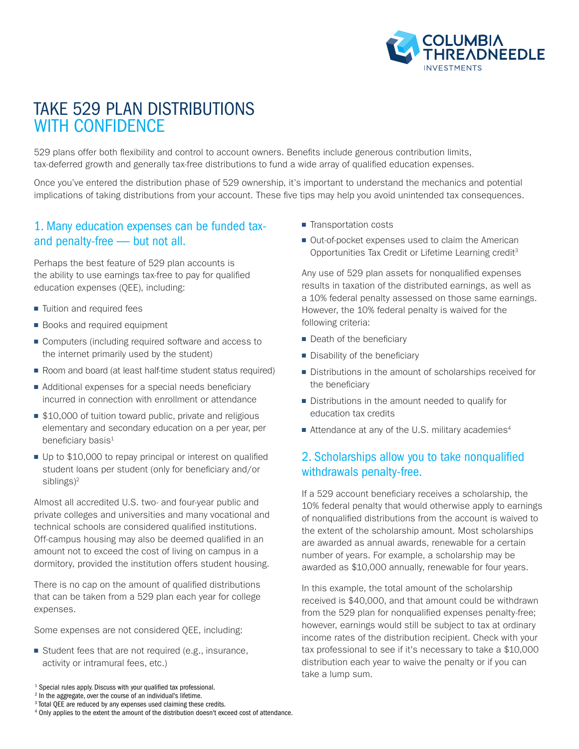

# TAKE 529 PLAN DISTRIBUTIONS WITH CONFIDENCE

529 plans offer both flexibility and control to account owners. Benefits include generous contribution limits, tax-deferred growth and generally tax-free distributions to fund a wide array of qualified education expenses.

Once you've entered the distribution phase of 529 ownership, it's important to understand the mechanics and potential implications of taking distributions from your account. These five tips may help you avoid unintended tax consequences.

#### 1. Many education expenses can be funded taxand penalty-free — but not all.

Perhaps the best feature of 529 plan accounts is the ability to use earnings tax-free to pay for qualified education expenses (QEE), including:

- Tuition and required fees
- Books and required equipment
- Computers (including required software and access to the internet primarily used by the student)
- Room and board (at least half-time student status required)
- Additional expenses for a special needs beneficiary incurred in connection with enrollment or attendance
- \$10,000 of tuition toward public, private and religious elementary and secondary education on a per year, per beneficiary basis<sup>1</sup>
- Up to \$10,000 to repay principal or interest on qualified student loans per student (only for beneficiary and/or siblings)<sup>2</sup>

Almost all accredited U.S. two- and four-year public and private colleges and universities and many vocational and technical schools are considered qualified institutions. Off-campus housing may also be deemed qualified in an amount not to exceed the cost of living on campus in a dormitory, provided the institution offers student housing.

There is no cap on the amount of qualified distributions that can be taken from a 529 plan each year for college expenses.

Some expenses are not considered QEE, including:

■ Student fees that are not required (e.g., insurance, activity or intramural fees, etc.)

3 Total QEE are reduced by any expenses used claiming these credits.

- Transportation costs
- Out-of-pocket expenses used to claim the American Opportunities Tax Credit or Lifetime Learning credit<sup>3</sup>

Any use of 529 plan assets for nonqualified expenses results in taxation of the distributed earnings, as well as a 10% federal penalty assessed on those same earnings. However, the 10% federal penalty is waived for the following criteria:

- Death of the beneficiary
- Disability of the beneficiary
- Distributions in the amount of scholarships received for the beneficiary
- Distributions in the amount needed to qualify for education tax credits
- Attendance at any of the U.S. military academies<sup>4</sup>

#### 2. Scholarships allow you to take nonqualified withdrawals penalty-free.

If a 529 account beneficiary receives a scholarship, the 10% federal penalty that would otherwise apply to earnings of nonqualified distributions from the account is waived to the extent of the scholarship amount. Most scholarships are awarded as annual awards, renewable for a certain number of years. For example, a scholarship may be awarded as \$10,000 annually, renewable for four years.

In this example, the total amount of the scholarship received is \$40,000, and that amount could be withdrawn from the 529 plan for nonqualified expenses penalty-free; however, earnings would still be subject to tax at ordinary income rates of the distribution recipient. Check with your tax professional to see if it's necessary to take a \$10,000 distribution each year to waive the penalty or if you can take a lump sum.

<sup>&</sup>lt;sup>1</sup> Special rules apply. Discuss with your qualified tax professional.

<sup>2</sup> In the aggregate, over the course of an individual's lifetime.

<sup>4</sup> Only applies to the extent the amount of the distribution doesn't exceed cost of attendance.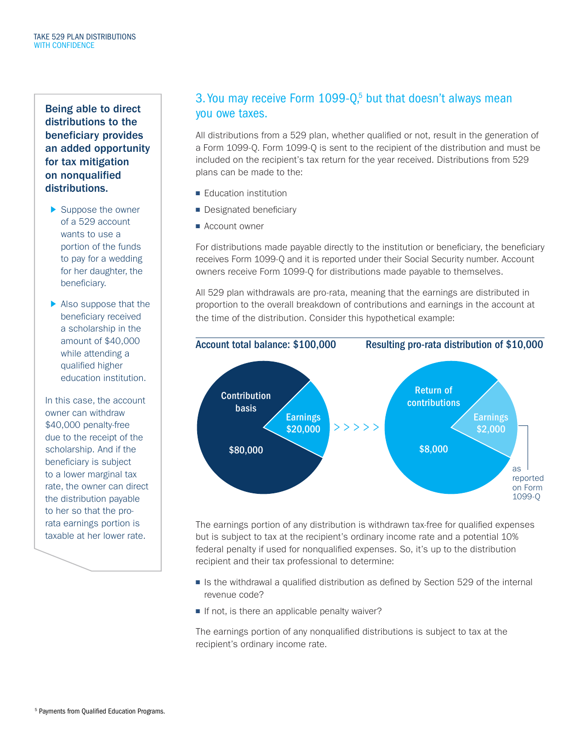Being able to direct distributions to the beneficiary provides an added opportunity for tax mitigation on nonqualified distributions.

- ▶ Suppose the owner of a 529 account wants to use a portion of the funds to pay for a wedding for her daughter, the beneficiary.
- Also suppose that the beneficiary received a scholarship in the amount of \$40,000 while attending a qualified higher education institution.

In this case, the account owner can withdraw \$40,000 penalty-free due to the receipt of the scholarship. And if the beneficiary is subject to a lower marginal tax rate, the owner can direct the distribution payable to her so that the prorata earnings portion is taxable at her lower rate.

### 3. You may receive Form  $1099 - Q<sub>5</sub>$  but that doesn't always mean you owe taxes.

All distributions from a 529 plan, whether qualified or not, result in the generation of a Form 1099-Q. Form 1099-Q is sent to the recipient of the distribution and must be included on the recipient's tax return for the year received. Distributions from 529 plans can be made to the:

- Education institution
- Designated beneficiary
- Account owner

For distributions made payable directly to the institution or beneficiary, the beneficiary receives Form 1099-Q and it is reported under their Social Security number. Account owners receive Form 1099-Q for distributions made payable to themselves.

All 529 plan withdrawals are pro-rata, meaning that the earnings are distributed in proportion to the overall breakdown of contributions and earnings in the account at the time of the distribution. Consider this hypothetical example:



The earnings portion of any distribution is withdrawn tax-free for qualified expenses but is subject to tax at the recipient's ordinary income rate and a potential 10% federal penalty if used for nonqualified expenses. So, it's up to the distribution recipient and their tax professional to determine:

- Is the withdrawal a qualified distribution as defined by Section 529 of the internal revenue code?
- If not, is there an applicable penalty waiver?

The earnings portion of any nonqualified distributions is subject to tax at the recipient's ordinary income rate.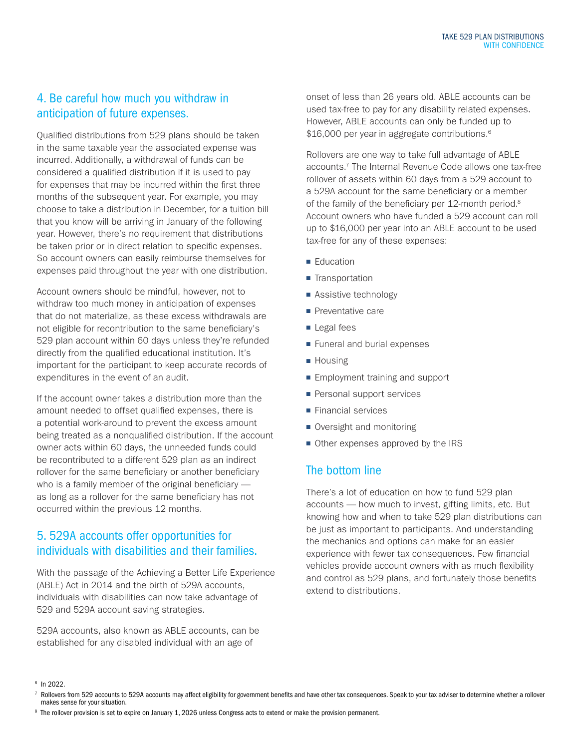# 4. Be careful how much you withdraw in anticipation of future expenses.

Qualified distributions from 529 plans should be taken in the same taxable year the associated expense was incurred. Additionally, a withdrawal of funds can be considered a qualified distribution if it is used to pay for expenses that may be incurred within the first three months of the subsequent year. For example, you may choose to take a distribution in December, for a tuition bill that you know will be arriving in January of the following year. However, there's no requirement that distributions be taken prior or in direct relation to specific expenses. So account owners can easily reimburse themselves for expenses paid throughout the year with one distribution.

Account owners should be mindful, however, not to withdraw too much money in anticipation of expenses that do not materialize, as these excess withdrawals are not eligible for recontribution to the same beneficiary's 529 plan account within 60 days unless they're refunded directly from the qualified educational institution. It's important for the participant to keep accurate records of expenditures in the event of an audit.

If the account owner takes a distribution more than the amount needed to offset qualified expenses, there is a potential work-around to prevent the excess amount being treated as a nonqualified distribution. If the account owner acts within 60 days, the unneeded funds could be recontributed to a different 529 plan as an indirect rollover for the same beneficiary or another beneficiary who is a family member of the original beneficiary as long as a rollover for the same beneficiary has not occurred within the previous 12 months.

# 5. 529A accounts offer opportunities for individuals with disabilities and their families.

With the passage of the Achieving a Better Life Experience (ABLE) Act in 2014 and the birth of 529A accounts, individuals with disabilities can now take advantage of 529 and 529A account saving strategies.

529A accounts, also known as ABLE accounts, can be established for any disabled individual with an age of

onset of less than 26 years old. ABLE accounts can be used tax-free to pay for any disability related expenses. However, ABLE accounts can only be funded up to \$16,000 per year in aggregate contributions.<sup>6</sup>

Rollovers are one way to take full advantage of ABLE accounts.<sup>7</sup> The Internal Revenue Code allows one tax-free rollover of assets within 60 days from a 529 account to a 529A account for the same beneficiary or a member of the family of the beneficiary per 12-month period.<sup>8</sup> Account owners who have funded a 529 account can roll up to \$16,000 per year into an ABLE account to be used tax-free for any of these expenses:

- Education
- Transportation
- Assistive technology
- Preventative care
- Legal fees
- Funeral and burial expenses
- Housing
- Employment training and support
- Personal support services
- Financial services
- Oversight and monitoring
- Other expenses approved by the IRS

#### The bottom line

There's a lot of education on how to fund 529 plan accounts — how much to invest, gifting limits, etc. But knowing how and when to take 529 plan distributions can be just as important to participants. And understanding the mechanics and options can make for an easier experience with fewer tax consequences. Few financial vehicles provide account owners with as much flexibility and control as 529 plans, and fortunately those benefits extend to distributions.

8 The rollover provision is set to expire on January 1, 2026 unless Congress acts to extend or make the provision permanent.

<sup>6</sup> In 2022.

<sup>7</sup> Rollovers from 529 accounts to 529A accounts may affect eligibility for government benefits and have other tax consequences. Speak to your tax adviser to determine whether a rollover makes sense for your situation.